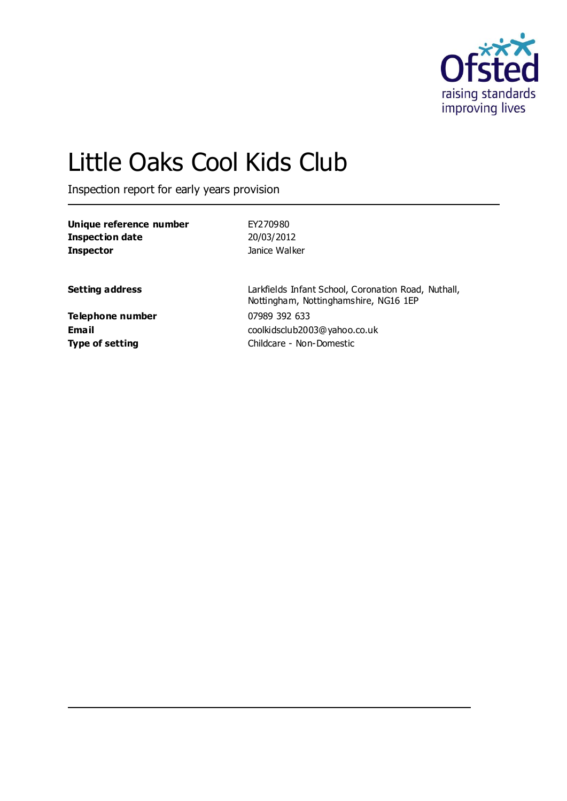

# Little Oaks Cool Kids Club

Inspection report for early years provision

| 20/03/2012<br>Janice Walker                               |
|-----------------------------------------------------------|
| Larkfields Infant School, Co<br>Nottingham, Nottinghamshi |
|                                                           |

**Telephone number** 07989 392 633

**Settem** Road, Nuthall, ire, NG16 1EP **Email** coolkidsclub2003@yahoo.co.uk **Type of setting** Childcare - Non-Domestic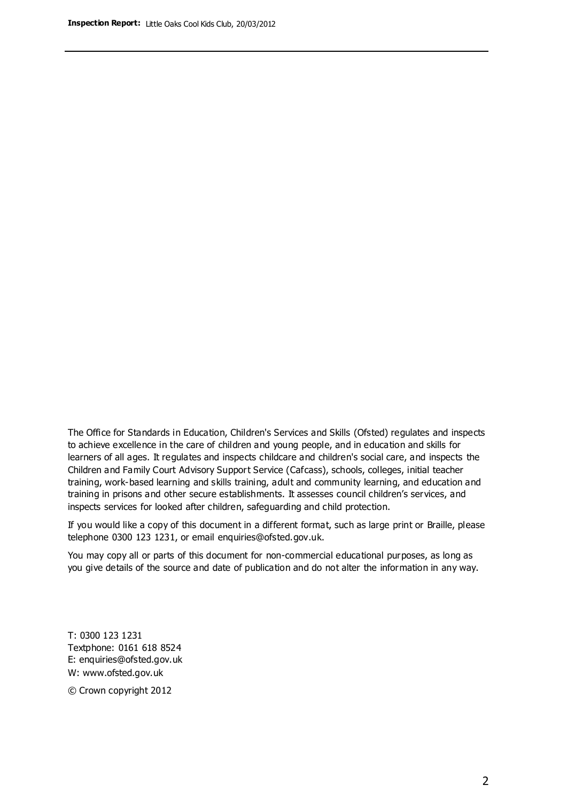The Office for Standards in Education, Children's Services and Skills (Ofsted) regulates and inspects to achieve excellence in the care of children and young people, and in education and skills for learners of all ages. It regulates and inspects childcare and children's social care, and inspects the Children and Family Court Advisory Support Service (Cafcass), schools, colleges, initial teacher training, work-based learning and skills training, adult and community learning, and education and training in prisons and other secure establishments. It assesses council children's services, and inspects services for looked after children, safeguarding and child protection.

If you would like a copy of this document in a different format, such as large print or Braille, please telephone 0300 123 1231, or email enquiries@ofsted.gov.uk.

You may copy all or parts of this document for non-commercial educational purposes, as long as you give details of the source and date of publication and do not alter the information in any way.

T: 0300 123 1231 Textphone: 0161 618 8524 E: enquiries@ofsted.gov.uk W: [www.ofsted.gov.uk](http://www.ofsted.gov.uk/)

© Crown copyright 2012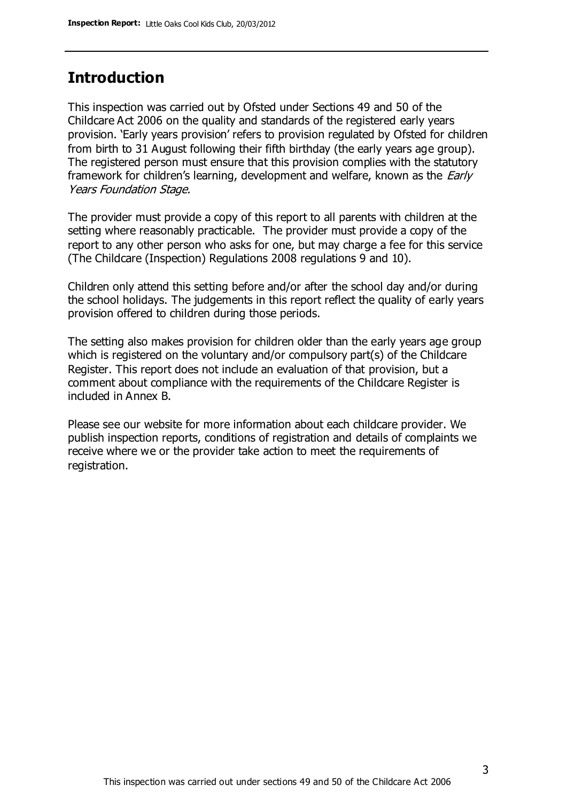## **Introduction**

This inspection was carried out by Ofsted under Sections 49 and 50 of the Childcare Act 2006 on the quality and standards of the registered early years provision. 'Early years provision' refers to provision regulated by Ofsted for children from birth to 31 August following their fifth birthday (the early years age group). The registered person must ensure that this provision complies with the statutory framework for children's learning, development and welfare, known as the *Early* Years Foundation Stage.

The provider must provide a copy of this report to all parents with children at the setting where reasonably practicable. The provider must provide a copy of the report to any other person who asks for one, but may charge a fee for this service (The Childcare (Inspection) Regulations 2008 regulations 9 and 10).

Children only attend this setting before and/or after the school day and/or during the school holidays. The judgements in this report reflect the quality of early years provision offered to children during those periods.

The setting also makes provision for children older than the early years age group which is registered on the voluntary and/or compulsory part(s) of the Childcare Register. This report does not include an evaluation of that provision, but a comment about compliance with the requirements of the Childcare Register is included in Annex B.

Please see our website for more information about each childcare provider. We publish inspection reports, conditions of registration and details of complaints we receive where we or the provider take action to meet the requirements of registration.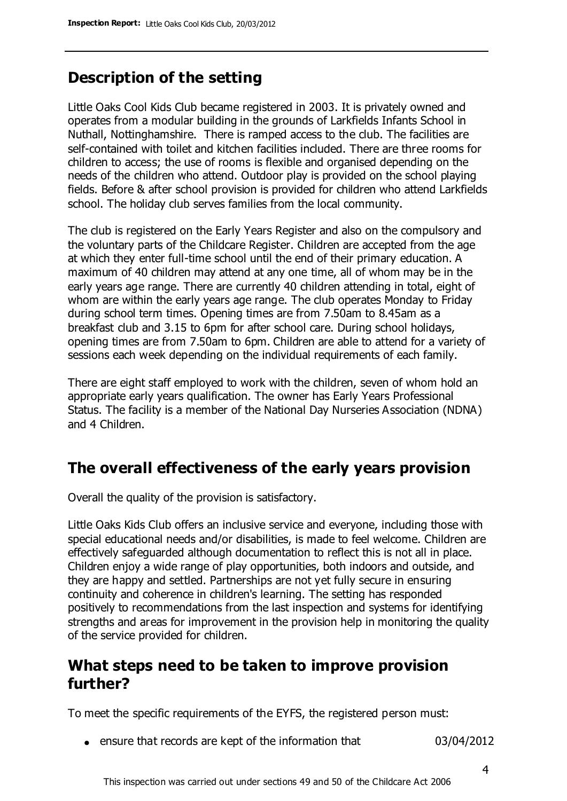# **Description of the setting**

Little Oaks Cool Kids Club became registered in 2003. It is privately owned and operates from a modular building in the grounds of Larkfields Infants School in Nuthall, Nottinghamshire. There is ramped access to the club. The facilities are self-contained with toilet and kitchen facilities included. There are three rooms for children to access; the use of rooms is flexible and organised depending on the needs of the children who attend. Outdoor play is provided on the school playing fields. Before & after school provision is provided for children who attend Larkfields school. The holiday club serves families from the local community.

The club is registered on the Early Years Register and also on the compulsory and the voluntary parts of the Childcare Register. Children are accepted from the age at which they enter full-time school until the end of their primary education. A maximum of 40 children may attend at any one time, all of whom may be in the early years age range. There are currently 40 children attending in total, eight of whom are within the early years age range. The club operates Monday to Friday during school term times. Opening times are from 7.50am to 8.45am as a breakfast club and 3.15 to 6pm for after school care. During school holidays, opening times are from 7.50am to 6pm. Children are able to attend for a variety of sessions each week depending on the individual requirements of each family.

There are eight staff employed to work with the children, seven of whom hold an appropriate early years qualification. The owner has Early Years Professional Status. The facility is a member of the National Day Nurseries Association (NDNA) and 4 Children.

## **The overall effectiveness of the early years provision**

Overall the quality of the provision is satisfactory.

Little Oaks Kids Club offers an inclusive service and everyone, including those with special educational needs and/or disabilities, is made to feel welcome. Children are effectively safeguarded although documentation to reflect this is not all in place. Children enjoy a wide range of play opportunities, both indoors and outside, and they are happy and settled. Partnerships are not yet fully secure in ensuring continuity and coherence in children's learning. The setting has responded positively to recommendations from the last inspection and systems for identifying strengths and areas for improvement in the provision help in monitoring the quality of the service provided for children.

## **What steps need to be taken to improve provision further?**

To meet the specific requirements of the EYFS, the registered person must:

ensure that records are kept of the information that 03/04/2012

This inspection was carried out under sections 49 and 50 of the Childcare Act 2006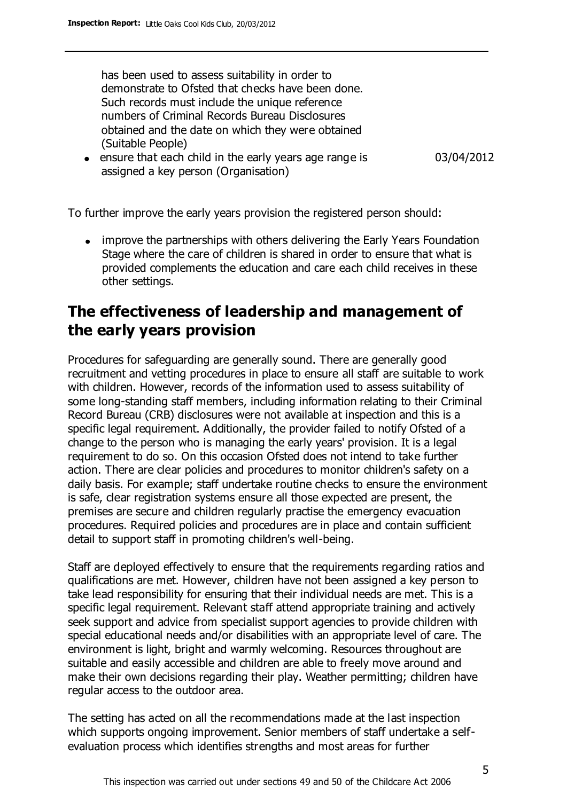has been used to assess suitability in order to demonstrate to Ofsted that checks have been done. Such records must include the unique reference numbers of Criminal Records Bureau Disclosures obtained and the date on which they were obtained (Suitable People)

• ensure that each child in the early years age range is assigned a key person (Organisation)

03/04/2012

To further improve the early years provision the registered person should:

improve the partnerships with others delivering the Early Years Foundation Stage where the care of children is shared in order to ensure that what is provided complements the education and care each child receives in these other settings.

## **The effectiveness of leadership and management of the early years provision**

Procedures for safeguarding are generally sound. There are generally good recruitment and vetting procedures in place to ensure all staff are suitable to work with children. However, records of the information used to assess suitability of some long-standing staff members, including information relating to their Criminal Record Bureau (CRB) disclosures were not available at inspection and this is a specific legal requirement. Additionally, the provider failed to notify Ofsted of a change to the person who is managing the early years' provision. It is a legal requirement to do so. On this occasion Ofsted does not intend to take further action. There are clear policies and procedures to monitor children's safety on a daily basis. For example; staff undertake routine checks to ensure the environment is safe, clear registration systems ensure all those expected are present, the premises are secure and children regularly practise the emergency evacuation procedures. Required policies and procedures are in place and contain sufficient detail to support staff in promoting children's well-being.

Staff are deployed effectively to ensure that the requirements regarding ratios and qualifications are met. However, children have not been assigned a key person to take lead responsibility for ensuring that their individual needs are met. This is a specific legal requirement. Relevant staff attend appropriate training and actively seek support and advice from specialist support agencies to provide children with special educational needs and/or disabilities with an appropriate level of care. The environment is light, bright and warmly welcoming. Resources throughout are suitable and easily accessible and children are able to freely move around and make their own decisions regarding their play. Weather permitting; children have regular access to the outdoor area.

The setting has acted on all the recommendations made at the last inspection which supports ongoing improvement. Senior members of staff undertake a selfevaluation process which identifies strengths and most areas for further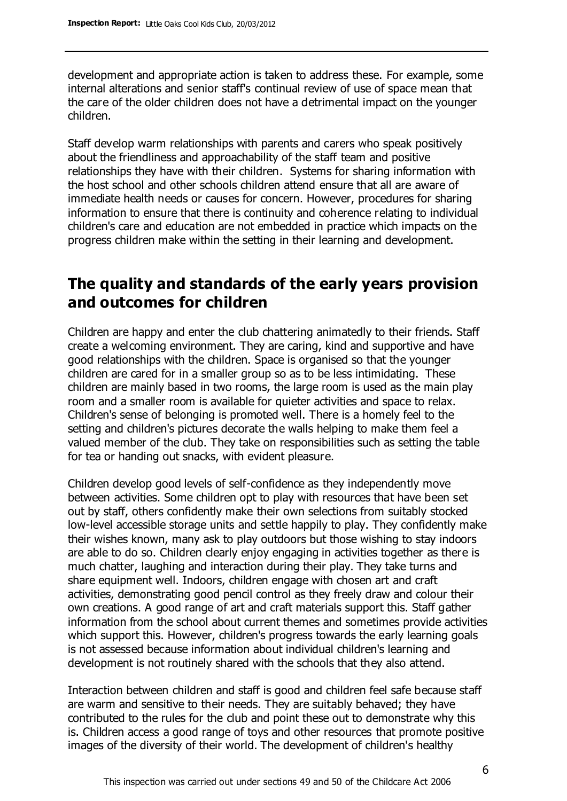development and appropriate action is taken to address these. For example, some internal alterations and senior staff's continual review of use of space mean that the care of the older children does not have a detrimental impact on the younger children.

Staff develop warm relationships with parents and carers who speak positively about the friendliness and approachability of the staff team and positive relationships they have with their children. Systems for sharing information with the host school and other schools children attend ensure that all are aware of immediate health needs or causes for concern. However, procedures for sharing information to ensure that there is continuity and coherence relating to individual children's care and education are not embedded in practice which impacts on the progress children make within the setting in their learning and development.

# **The quality and standards of the early years provision and outcomes for children**

Children are happy and enter the club chattering animatedly to their friends. Staff create a welcoming environment. They are caring, kind and supportive and have good relationships with the children. Space is organised so that the younger children are cared for in a smaller group so as to be less intimidating. These children are mainly based in two rooms, the large room is used as the main play room and a smaller room is available for quieter activities and space to relax. Children's sense of belonging is promoted well. There is a homely feel to the setting and children's pictures decorate the walls helping to make them feel a valued member of the club. They take on responsibilities such as setting the table for tea or handing out snacks, with evident pleasure.

Children develop good levels of self-confidence as they independently move between activities. Some children opt to play with resources that have been set out by staff, others confidently make their own selections from suitably stocked low-level accessible storage units and settle happily to play. They confidently make their wishes known, many ask to play outdoors but those wishing to stay indoors are able to do so. Children clearly enjoy engaging in activities together as there is much chatter, laughing and interaction during their play. They take turns and share equipment well. Indoors, children engage with chosen art and craft activities, demonstrating good pencil control as they freely draw and colour their own creations. A good range of art and craft materials support this. Staff gather information from the school about current themes and sometimes provide activities which support this. However, children's progress towards the early learning goals is not assessed because information about individual children's learning and development is not routinely shared with the schools that they also attend.

Interaction between children and staff is good and children feel safe because staff are warm and sensitive to their needs. They are suitably behaved; they have contributed to the rules for the club and point these out to demonstrate why this is. Children access a good range of toys and other resources that promote positive images of the diversity of their world. The development of children's healthy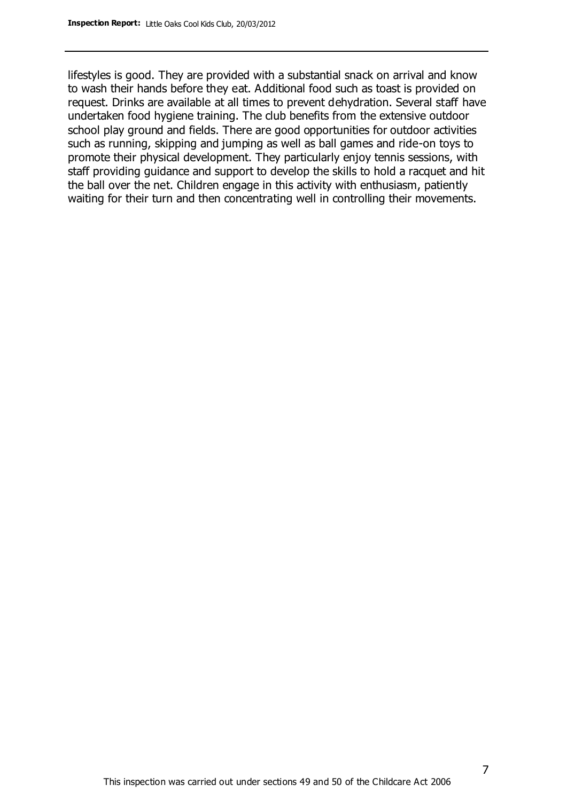lifestyles is good. They are provided with a substantial snack on arrival and know to wash their hands before they eat. Additional food such as toast is provided on request. Drinks are available at all times to prevent dehydration. Several staff have undertaken food hygiene training. The club benefits from the extensive outdoor school play ground and fields. There are good opportunities for outdoor activities such as running, skipping and jumping as well as ball games and ride-on toys to promote their physical development. They particularly enjoy tennis sessions, with staff providing guidance and support to develop the skills to hold a racquet and hit the ball over the net. Children engage in this activity with enthusiasm, patiently waiting for their turn and then concentrating well in controlling their movements.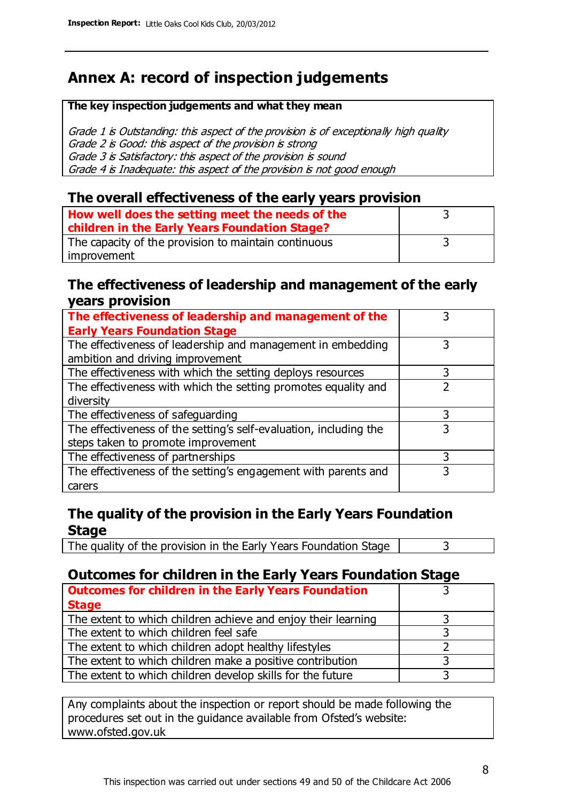# **Annex A: record of inspection judgements**

#### **The key inspection judgements and what they mean**

Grade 1 is Outstanding: this aspect of the provision is of exceptionally high quality Grade 2 is Good: this aspect of the provision is strong Grade 3 is Satisfactory: this aspect of the provision is sound Grade 4 is Inadequate: this aspect of the provision is not good enough

#### **The overall effectiveness of the early years provision**

| How well does the setting meet the needs of the      |  |
|------------------------------------------------------|--|
| children in the Early Years Foundation Stage?        |  |
| The capacity of the provision to maintain continuous |  |
| improvement                                          |  |

#### **The effectiveness of leadership and management of the early years provision**

| The effectiveness of leadership and management of the             |   |
|-------------------------------------------------------------------|---|
| <b>Early Years Foundation Stage</b>                               |   |
| The effectiveness of leadership and management in embedding       |   |
| ambition and driving improvement                                  |   |
| The effectiveness with which the setting deploys resources        | 3 |
| The effectiveness with which the setting promotes equality and    |   |
| diversity                                                         |   |
| The effectiveness of safeguarding                                 |   |
| The effectiveness of the setting's self-evaluation, including the | 3 |
| steps taken to promote improvement                                |   |
| The effectiveness of partnerships                                 | 3 |
| The effectiveness of the setting's engagement with parents and    |   |
| carers                                                            |   |

### **The quality of the provision in the Early Years Foundation Stage**

The quality of the provision in the Early Years Foundation Stage  $\vert$  3

## **Outcomes for children in the Early Years Foundation Stage**

| <b>Outcomes for children in the Early Years Foundation</b>    |  |
|---------------------------------------------------------------|--|
| <b>Stage</b>                                                  |  |
| The extent to which children achieve and enjoy their learning |  |
| The extent to which children feel safe                        |  |
| The extent to which children adopt healthy lifestyles         |  |
| The extent to which children make a positive contribution     |  |
| The extent to which children develop skills for the future    |  |

Any complaints about the inspection or report should be made following the procedures set out in the guidance available from Ofsted's website: www.ofsted.gov.uk